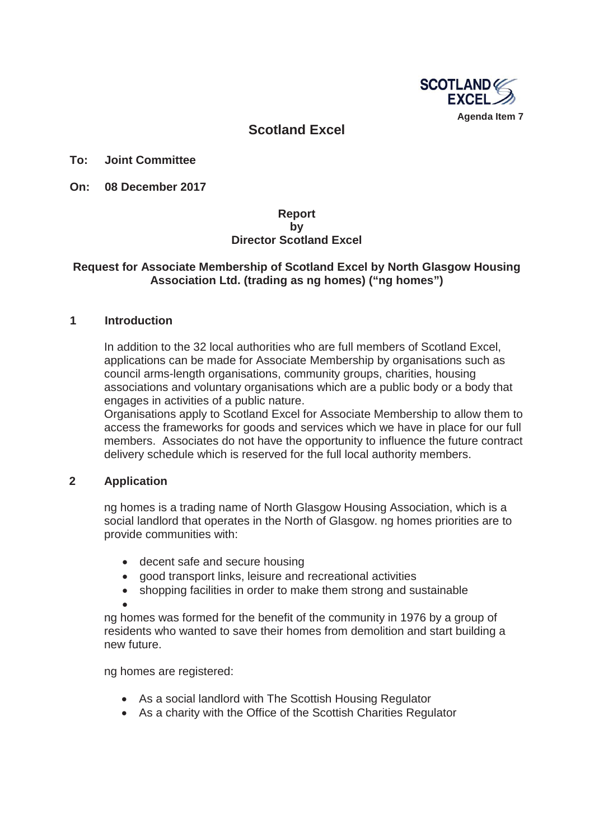

# **Scotland Excel**

**To: Joint Committee**

**On: 08 December 2017** 

### **Report by Director Scotland Excel**

### **Request for Associate Membership of Scotland Excel by North Glasgow Housing Association Ltd. (trading as ng homes) ("ng homes")**

#### **1 Introduction**

In addition to the 32 local authorities who are full members of Scotland Excel, applications can be made for Associate Membership by organisations such as council arms-length organisations, community groups, charities, housing associations and voluntary organisations which are a public body or a body that engages in activities of a public nature.

Organisations apply to Scotland Excel for Associate Membership to allow them to access the frameworks for goods and services which we have in place for our full members. Associates do not have the opportunity to influence the future contract delivery schedule which is reserved for the full local authority members.

### **2 Application**

ng homes is a trading name of North Glasgow Housing Association, which is a social landlord that operates in the North of Glasgow. ng homes priorities are to provide communities with:

- decent safe and secure housing
- good transport links, leisure and recreational activities
- shopping facilities in order to make them strong and sustainable
- $\bullet$ ng homes was formed for the benefit of the community in 1976 by a group of residents who wanted to save their homes from demolition and start building a new future.

ng homes are registered:

- As a social landlord with The Scottish Housing Regulator
- As a charity with the Office of the Scottish Charities Regulator